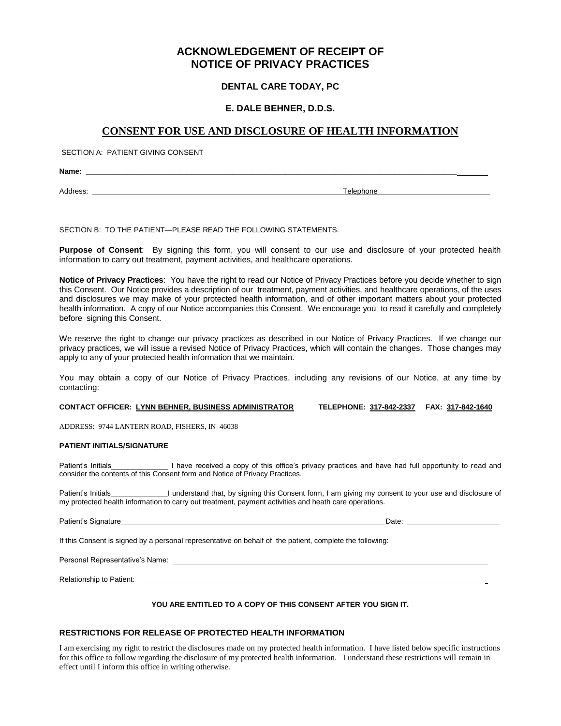# **ACKNOWLEDGEMENT OF RECEIPT OF NOTICE OF PRIVACY PRACTICES**

## **DENTAL CARE TODAY, PC**

### **E. DALE BEHNER, D.D.S.**

## **CONSENT FOR USE AND DISCLOSURE OF HEALTH INFORMATION**

SECTION A: PATIENT GIVING CONSENT

**Name: \_\_\_\_\_\_\_\_\_\_\_\_\_\_\_\_\_\_\_\_\_\_\_\_\_\_\_\_\_\_\_\_\_\_\_\_\_\_\_\_\_\_\_\_\_\_\_\_\_\_\_\_\_\_\_\_\_\_\_\_\_\_\_\_\_\_\_\_\_\_\_\_\_\_\_\_\_\_\_\_\_\_\_\_\_\_\_\_\_\_\_**

Address: \_\_\_\_\_\_\_\_\_\_\_\_\_\_\_\_\_\_\_\_\_\_\_\_\_\_\_\_\_\_\_\_\_\_\_\_\_\_\_\_\_\_\_\_\_\_ \_\_\_\_\_\_\_\_Telephone \_\_\_\_\_\_\_\_\_\_\_\_\_\_\_\_\_\_\_\_

SECTION B: TO THE PATIENT—PLEASE READ THE FOLLOWING STATEMENTS.

**Purpose of Consent**: By signing this form, you will consent to our use and disclosure of your protected health information to carry out treatment, payment activities, and healthcare operations.

**Notice of Privacy Practices**: You have the right to read our Notice of Privacy Practices before you decide whether to sign this Consent. Our Notice provides a description of our treatment, payment activities, and healthcare operations, of the uses and disclosures we may make of your protected health information, and of other important matters about your protected health information. A copy of our Notice accompanies this Consent. We encourage you to read it carefully and completely before signing this Consent.

We reserve the right to change our privacy practices as described in our Notice of Privacy Practices. If we change our privacy practices, we will issue a revised Notice of Privacy Practices, which will contain the changes. Those changes may apply to any of your protected health information that we maintain.

You may obtain a copy of our Notice of Privacy Practices, including any revisions of our Notice, at any time by contacting:

**CONTACT OFFICER: LYNN BEHNER, BUSINESS ADMINISTRATOR TELEPHONE: 317-842-2337 FAX: 317-842-1640**

ADDRESS: 9744 LANTERN ROAD, FISHERS, IN 46038

#### **PATIENT INITIALS/SIGNATURE**

Patient's Initials **I have received a copy of this office's privacy practices and have had full opportunity to read and** consider the contents of this Consent form and Notice of Privacy Practices.

Patient's Initials\_\_\_\_\_\_\_\_\_\_\_\_\_\_I understand that, by signing this Consent form, I am giving my consent to your use and disclosure of my protected health information to carry out treatment, payment activities and heath care operations.

Patient's Signature extending the state of the state of the state of the state of the state of the state of the state of the state of the state of the state of the state of the state of the state of the state of the state

If this Consent is signed by a personal representative on behalf of the patient, complete the following:

Personal Representative's Name:

Relationship to Patient: \_\_

#### **YOU ARE ENTITLED TO A COPY OF THIS CONSENT AFTER YOU SIGN IT.**

### **RESTRICTIONS FOR RELEASE OF PROTECTED HEALTH INFORMATION**

I am exercising my right to restrict the disclosures made on my protected health information. I have listed below specific instructions for this office to follow regarding the disclosure of my protected health information. I understand these restrictions will remain in effect until I inform this office in writing otherwise.